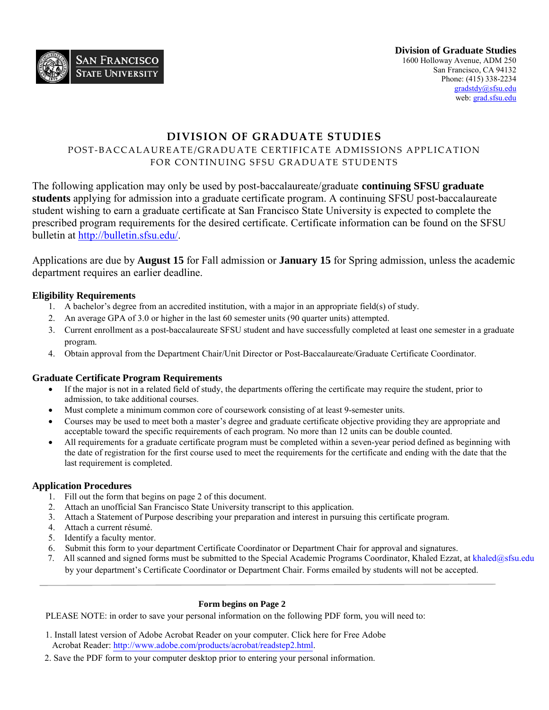

# **DIVISION OF GRADUATE STUDIES**

## POST-BACCALAUREATE/GRADUATE CERTIFICATE ADMISSIONS APPLICATION FOR CONTINUING SFSU GRADUATE STUDENTS

The following application may only be used by post-baccalaureate/graduate **continuing SFSU graduate students** applying for admission into a graduate certificate program. A continuing SFSU post-baccalaureate student wishing to earn a graduate certificate at San Francisco State University is expected to complete the prescribed program requirements for the desired certificate. Certificate information can be found on the SFSU bulletin at [http://bulletin.sfsu.edu/.](http://bulletin.sfsu.edu/)

Applications are due by **August 15** for Fall admission or **January 15** for Spring admission, unless the academic department requires an earlier deadline.

#### **Eligibility Requirements**

- 1. A bachelor's degree from an accredited institution, with a major in an appropriate field(s) of study.
- 2. An average GPA of 3.0 or higher in the last 60 semester units (90 quarter units) attempted.
- 3. Current enrollment as a post-baccalaureate SFSU student and have successfully completed at least one semester in a graduate program.
- 4. Obtain approval from the Department Chair/Unit Director or Post-Baccalaureate/Graduate Certificate Coordinator.

#### **Graduate Certificate Program Requirements**

- If the major is not in a related field of study, the departments offering the certificate may require the student, prior to admission, to take additional courses.
- Must complete a minimum common core of coursework consisting of at least 9-semester units.
- Courses may be used to meet both a master's degree and graduate certificate objective providing they are appropriate and acceptable toward the specific requirements of each program. No more than 12 units can be double counted.
- All requirements for a graduate certificate program must be completed within a seven-year period defined as beginning with the date of registration for the first course used to meet the requirements for the certificate and ending with the date that the last requirement is completed.

#### **Application Procedures**

- 1. Fill out the form that begins on page 2 of this document.
- 2. Attach an unofficial San Francisco State University transcript to this application.
- 3. Attach a Statement of Purpose describing your preparation and interest in pursuing this certificate program.
- 4. Attach a current résumé.
- 5. Identify a faculty mentor.
- 6. Submit this form to your department Certificate Coordinator or Department Chair for approval and signatures.
- 7. All scanned and signed forms must be submitted to the Special Academic Programs Coordinator, Khaled Ezzat, at [khaled@sfsu.edu](mailto:khaled@sfsu.edu) by your department's Certificate Coordinator or Department Chair. Forms emailed by students will not be accepted.

#### **Form begins on Page 2**

PLEASE NOTE: in order to save your personal information on the following PDF form, you will need to:

- 1. Install latest version of Adobe Acrobat Reader on your computer. Click here for Free Adobe Acrobat Reader: [http://www.adobe.com/products/acrobat/readstep2.html.](http://www.adobe.com/products/acrobat/readstep2.html)
- 2. Save the PDF form to your computer desktop prior to entering your personal information.